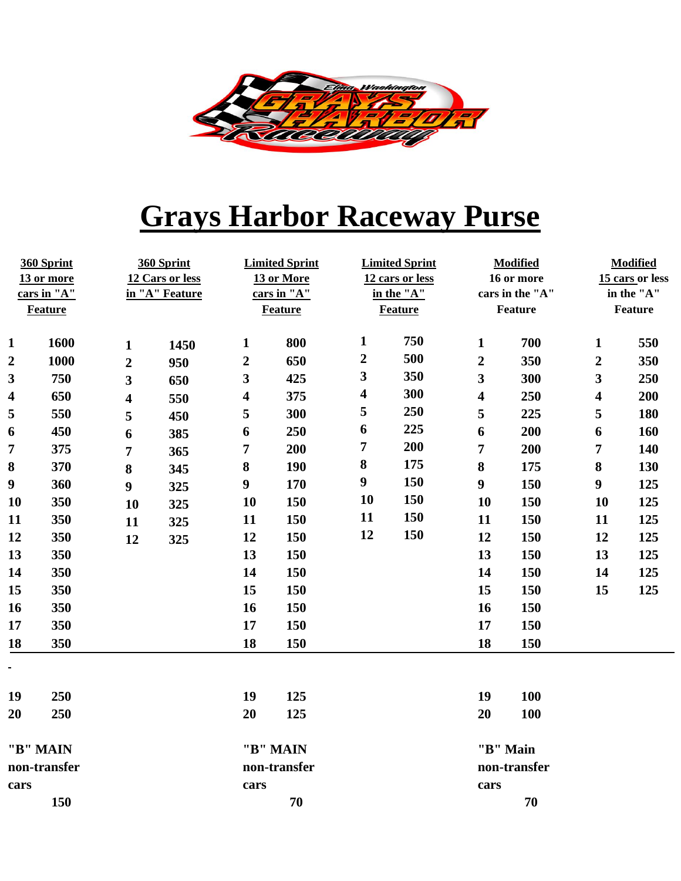

## **Grays Harbor Raceway Purse**

| 360 Sprint<br>13 or more<br>cars in "A"<br>Feature |      | 360 Sprint<br>12 Cars or less<br>in "A" Feature |              | <b>Limited Sprint</b><br>13 or More<br>cars in "A"<br>Feature |     | <b>Limited Sprint</b><br>12 cars or less<br>in the "A"<br><b>Feature</b> |          | <b>Modified</b><br>16 or more<br>cars in the "A"<br>Feature |     | <b>Modified</b><br>15 cars or less<br>in the "A"<br>Feature |     |
|----------------------------------------------------|------|-------------------------------------------------|--------------|---------------------------------------------------------------|-----|--------------------------------------------------------------------------|----------|-------------------------------------------------------------|-----|-------------------------------------------------------------|-----|
| $\mathbf{1}$                                       | 1600 | $\mathbf{1}$                                    | 1450         | $\mathbf{1}$                                                  | 800 | $\mathbf{1}$                                                             | 750      | 1                                                           | 700 | $\mathbf{1}$                                                | 550 |
| $\boldsymbol{2}$                                   | 1000 | $\overline{2}$                                  | 950          | $\boldsymbol{2}$                                              | 650 | $\boldsymbol{2}$                                                         | 500      | $\overline{2}$                                              | 350 | $\boldsymbol{2}$                                            | 350 |
| $\overline{\mathbf{3}}$                            | 750  | $\mathbf{3}$                                    | 650          | 3                                                             | 425 | $\mathbf{3}$                                                             | 350      | $\overline{\mathbf{3}}$                                     | 300 | $\overline{\mathbf{3}}$                                     | 250 |
| $\overline{\mathbf{4}}$                            | 650  | $\overline{\mathbf{4}}$                         | 550          | $\overline{\mathbf{4}}$                                       | 375 | $\overline{\mathbf{4}}$                                                  | 300      | 4                                                           | 250 | $\overline{\mathbf{4}}$                                     | 200 |
| 5                                                  | 550  | 5                                               | 450          | 5                                                             | 300 | 5                                                                        | 250      | 5                                                           | 225 | 5                                                           | 180 |
| 6                                                  | 450  | 6                                               | 385          | 6                                                             | 250 | 6                                                                        | 225      | 6                                                           | 200 | 6                                                           | 160 |
| $\overline{7}$                                     | 375  | $\overline{7}$                                  | 365          | $\overline{7}$                                                | 200 | 7                                                                        | 200      | 7                                                           | 200 | 7                                                           | 140 |
| 8                                                  | 370  | $\bf{8}$                                        | 345          | $\bf{8}$                                                      | 190 | $\bf 8$                                                                  | 175      | 8                                                           | 175 | $\bf 8$                                                     | 130 |
| $\boldsymbol{9}$                                   | 360  | $\boldsymbol{9}$                                | 325          | $\boldsymbol{9}$                                              | 170 | $\boldsymbol{9}$                                                         | 150      | 9                                                           | 150 | $\boldsymbol{9}$                                            | 125 |
| <b>10</b>                                          | 350  | 10                                              | 325          | 10                                                            | 150 | 10                                                                       | 150      | 10                                                          | 150 | 10                                                          | 125 |
| 11                                                 | 350  | 11                                              | 325          | 11                                                            | 150 | 11                                                                       | 150      | 11                                                          | 150 | 11                                                          | 125 |
| 12                                                 | 350  | 12                                              | 325          | 12                                                            | 150 | 12                                                                       | 150      | 12                                                          | 150 | 12                                                          | 125 |
| 13                                                 | 350  |                                                 |              | 13                                                            | 150 |                                                                          |          | 13                                                          | 150 | 13                                                          | 125 |
| 14                                                 | 350  |                                                 |              | 14                                                            | 150 |                                                                          |          | 14                                                          | 150 | 14                                                          | 125 |
| 15                                                 | 350  |                                                 |              | 15                                                            | 150 |                                                                          |          | 15                                                          | 150 | 15                                                          | 125 |
| 16                                                 | 350  |                                                 |              | 16                                                            | 150 |                                                                          |          | 16                                                          | 150 |                                                             |     |
| 17                                                 | 350  |                                                 |              | 17                                                            | 150 |                                                                          |          | 17                                                          | 150 |                                                             |     |
| 18                                                 | 350  |                                                 |              | 18                                                            | 150 |                                                                          |          | 18                                                          | 150 |                                                             |     |
| $\blacksquare$<br>19                               | 250  |                                                 |              | 19                                                            | 125 |                                                                          |          | 19                                                          | 100 |                                                             |     |
| 20                                                 | 250  |                                                 |              | 20                                                            | 125 |                                                                          |          | 20                                                          | 100 |                                                             |     |
| "B" MAIN                                           |      |                                                 |              | "B" MAIN                                                      |     |                                                                          | "B" Main |                                                             |     |                                                             |     |
| non-transfer                                       |      |                                                 | non-transfer |                                                               |     |                                                                          |          | non-transfer                                                |     |                                                             |     |
| cars                                               |      |                                                 | cars         |                                                               |     |                                                                          | cars     |                                                             |     |                                                             |     |
|                                                    | 150  |                                                 |              | 70                                                            |     |                                                                          |          |                                                             | 70  |                                                             |     |